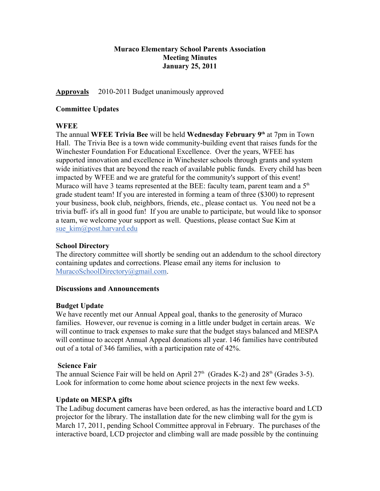## **Muraco Elementary School Parents Association Meeting Minutes January 25, 2011**

## **Approvals** 2010-2011 Budget unanimously approved

### **Committee Updates**

## **WFEE**

The annual **WFEE Trivia Bee** will be held **Wednesday February 9th** at 7pm in Town Hall. The Trivia Bee is a town wide community-building event that raises funds for the Winchester Foundation For Educational Excellence. Over the years, WFEE has supported innovation and excellence in Winchester schools through grants and system wide initiatives that are beyond the reach of available public funds. Every child has been impacted by WFEE and we are grateful for the community's support of this event! Muraco will have 3 teams represented at the BEE: faculty team, parent team and a  $5<sup>th</sup>$ grade student team! If you are interested in forming a team of three (\$300) to represent your business, book club, neighbors, friends, etc., please contact us. You need not be a trivia buff- it's all in good fun! If you are unable to participate, but would like to sponsor a team, we welcome your support as well. Questions, please contact Sue Kim at sue kim@post.harvard.edu

### **School Directory**

The directory committee will shortly be sending out an addendum to the school directory containing updates and corrections. Please email any items for inclusion to MuracoSchoolDirectory@gmail.com.

#### **Discussions and Announcements**

### **Budget Update**

We have recently met our Annual Appeal goal, thanks to the generosity of Muraco families. However, our revenue is coming in a little under budget in certain areas. We will continue to track expenses to make sure that the budget stays balanced and MESPA will continue to accept Annual Appeal donations all year. 146 families have contributed out of a total of 346 families, with a participation rate of 42%.

### **Science Fair**

The annual Science Fair will be held on April  $27<sup>th</sup>$  (Grades K-2) and  $28<sup>th</sup>$  (Grades 3-5). Look for information to come home about science projects in the next few weeks.

### **Update on MESPA gifts**

The Ladibug document cameras have been ordered, as has the interactive board and LCD projector for the library. The installation date for the new climbing wall for the gym is March 17, 2011, pending School Committee approval in February. The purchases of the interactive board, LCD projector and climbing wall are made possible by the continuing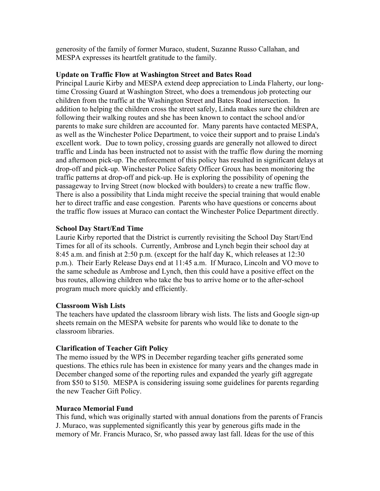generosity of the family of former Muraco, student, Suzanne Russo Callahan, and MESPA expresses its heartfelt gratitude to the family.

## **Update on Traffic Flow at Washington Street and Bates Road**

Principal Laurie Kirby and MESPA extend deep appreciation to Linda Flaherty, our longtime Crossing Guard at Washington Street, who does a tremendous job protecting our children from the traffic at the Washington Street and Bates Road intersection. In addition to helping the children cross the street safely, Linda makes sure the children are following their walking routes and she has been known to contact the school and/or parents to make sure children are accounted for. Many parents have contacted MESPA, as well as the Winchester Police Department, to voice their support and to praise Linda's excellent work. Due to town policy, crossing guards are generally not allowed to direct traffic and Linda has been instructed not to assist with the traffic flow during the morning and afternoon pick-up. The enforcement of this policy has resulted in significant delays at drop-off and pick-up. Winchester Police Safety Officer Groux has been monitoring the traffic patterns at drop-off and pick-up. He is exploring the possibility of opening the passageway to Irving Street (now blocked with boulders) to create a new traffic flow. There is also a possibility that Linda might receive the special training that would enable her to direct traffic and ease congestion. Parents who have questions or concerns about the traffic flow issues at Muraco can contact the Winchester Police Department directly.

## **School Day Start/End Time**

Laurie Kirby reported that the District is currently revisiting the School Day Start/End Times for all of its schools. Currently, Ambrose and Lynch begin their school day at 8:45 a.m. and finish at 2:50 p.m. (except for the half day K, which releases at 12:30 p.m.). Their Early Release Days end at 11:45 a.m. If Muraco, Lincoln and VO move to the same schedule as Ambrose and Lynch, then this could have a positive effect on the bus routes, allowing children who take the bus to arrive home or to the after-school program much more quickly and efficiently.

# **Classroom Wish Lists**

The teachers have updated the classroom library wish lists. The lists and Google sign-up sheets remain on the MESPA website for parents who would like to donate to the classroom libraries.

### **Clarification of Teacher Gift Policy**

The memo issued by the WPS in December regarding teacher gifts generated some questions. The ethics rule has been in existence for many years and the changes made in December changed some of the reporting rules and expanded the yearly gift aggregate from \$50 to \$150. MESPA is considering issuing some guidelines for parents regarding the new Teacher Gift Policy.

### **Muraco Memorial Fund**

This fund, which was originally started with annual donations from the parents of Francis J. Muraco, was supplemented significantly this year by generous gifts made in the memory of Mr. Francis Muraco, Sr, who passed away last fall. Ideas for the use of this